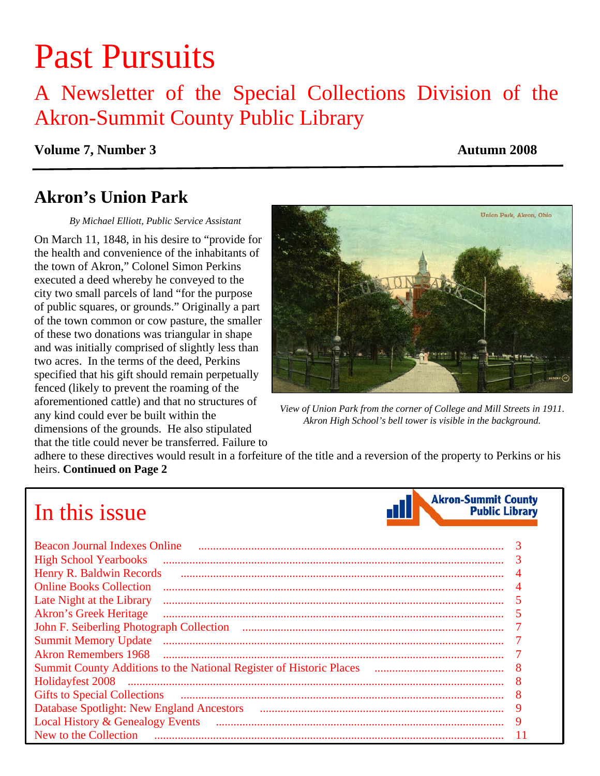## Past Pursuits

## A Newsletter of the Special Collections Division of the Akron-Summit County Public Library

#### **Volume 7, Number 3** Autumn 2008

## **Akron's Union Park**

*By Michael Elliott, Public Service Assistant* 

On March 11, 1848, in his desire to "provide for the health and convenience of the inhabitants of the town of Akron," Colonel Simon Perkins executed a deed whereby he conveyed to the city two small parcels of land "for the purpose of public squares, or grounds." Originally a part of the town common or cow pasture, the smaller of these two donations was triangular in shape and was initially comprised of slightly less than two acres. In the terms of the deed, Perkins specified that his gift should remain perpetually fenced (likely to prevent the roaming of the aforementioned cattle) and that no structures of any kind could ever be built within the dimensions of the grounds. He also stipulated that the title could never be transferred. Failure to



*View of Union Park from the corner of College and Mill Streets in 1911. Akron High School's bell tower is visible in the background.* 

adhere to these directives would result in a forfeiture of the title and a reversion of the property to Perkins or his heirs. **[Continued on Page 2](#page-1-0)**

# In this issue

| dl | <b>Akron-Summit County</b><br><b>Public Library</b> |
|----|-----------------------------------------------------|
|----|-----------------------------------------------------|

| <b>Beacon Journal Indexes Online</b>                                |  |  |  |  |
|---------------------------------------------------------------------|--|--|--|--|
| <b>High School Yearbooks</b>                                        |  |  |  |  |
| Henry R. Baldwin Records                                            |  |  |  |  |
| <b>Online Books Collection</b>                                      |  |  |  |  |
| Late Night at the Library                                           |  |  |  |  |
| <b>Akron's Greek Heritage</b>                                       |  |  |  |  |
| John F. Seiberling Photograph Collection                            |  |  |  |  |
| <b>Summit Memory Update</b>                                         |  |  |  |  |
| <b>Akron Remembers 1968</b>                                         |  |  |  |  |
| Summit County Additions to the National Register of Historic Places |  |  |  |  |
| Holidayfest 2008                                                    |  |  |  |  |
| <b>Gifts to Special Collections</b>                                 |  |  |  |  |
| Database Spotlight: New England Ancestors                           |  |  |  |  |
| <b>Local History &amp; Genealogy Events</b>                         |  |  |  |  |
| New to the Collection                                               |  |  |  |  |
|                                                                     |  |  |  |  |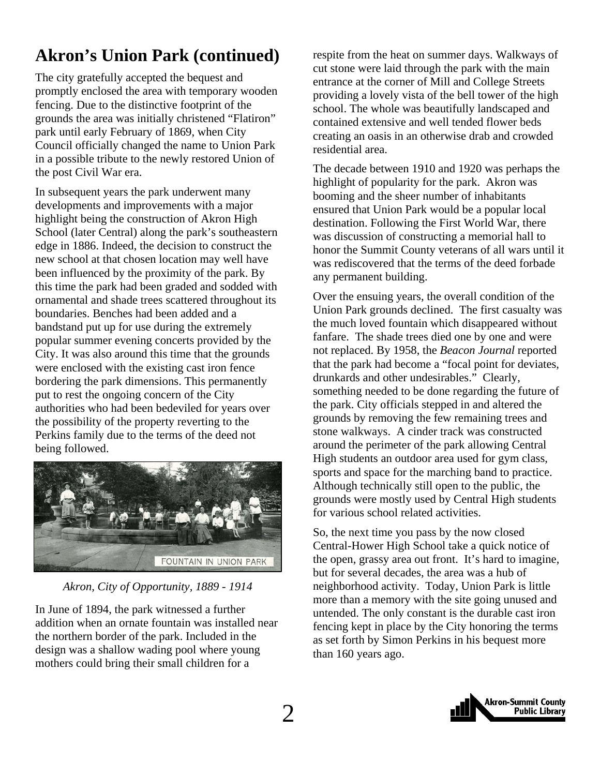## <span id="page-1-0"></span>**Akron's Union Park (continued)**

The city gratefully accepted the bequest and promptly enclosed the area with temporary wooden fencing. Due to the distinctive footprint of the grounds the area was initially christened "Flatiron" park until early February of 1869, when City Council officially changed the name to Union Park in a possible tribute to the newly restored Union of the post Civil War era.

In subsequent years the park underwent many developments and improvements with a major highlight being the construction of Akron High School (later Central) along the park's southeastern edge in 1886. Indeed, the decision to construct the new school at that chosen location may well have been influenced by the proximity of the park. By this time the park had been graded and sodded with ornamental and shade trees scattered throughout its boundaries. Benches had been added and a bandstand put up for use during the extremely popular summer evening concerts provided by the City. It was also around this time that the grounds were enclosed with the existing cast iron fence bordering the park dimensions. This permanently put to rest the ongoing concern of the City authorities who had been bedeviled for years over the possibility of the property reverting to the Perkins family due to the terms of the deed not being followed.



*Akron, City of Opportunity, 1889 - 1914* 

In June of 1894, the park witnessed a further addition when an ornate fountain was installed near the northern border of the park. Included in the design was a shallow wading pool where young mothers could bring their small children for a

respite from the heat on summer days. Walkways of cut stone were laid through the park with the main entrance at the corner of Mill and College Streets providing a lovely vista of the bell tower of the high school. The whole was beautifully landscaped and contained extensive and well tended flower beds creating an oasis in an otherwise drab and crowded residential area.

The decade between 1910 and 1920 was perhaps the highlight of popularity for the park. Akron was booming and the sheer number of inhabitants ensured that Union Park would be a popular local destination. Following the First World War, there was discussion of constructing a memorial hall to honor the Summit County veterans of all wars until it was rediscovered that the terms of the deed forbade any permanent building.

Over the ensuing years, the overall condition of the Union Park grounds declined. The first casualty was the much loved fountain which disappeared without fanfare. The shade trees died one by one and were not replaced. By 1958, the *Beacon Journal* reported that the park had become a "focal point for deviates, drunkards and other undesirables." Clearly, something needed to be done regarding the future of the park. City officials stepped in and altered the grounds by removing the few remaining trees and stone walkways. A cinder track was constructed around the perimeter of the park allowing Central High students an outdoor area used for gym class, sports and space for the marching band to practice. Although technically still open to the public, the grounds were mostly used by Central High students for various school related activities.

So, the next time you pass by the now closed Central-Hower High School take a quick notice of the open, grassy area out front. It's hard to imagine, but for several decades, the area was a hub of neighborhood activity. Today, Union Park is little more than a memory with the site going unused and untended. The only constant is the durable cast iron fencing kept in place by the City honoring the terms as set forth by Simon Perkins in his bequest more than 160 years ago.

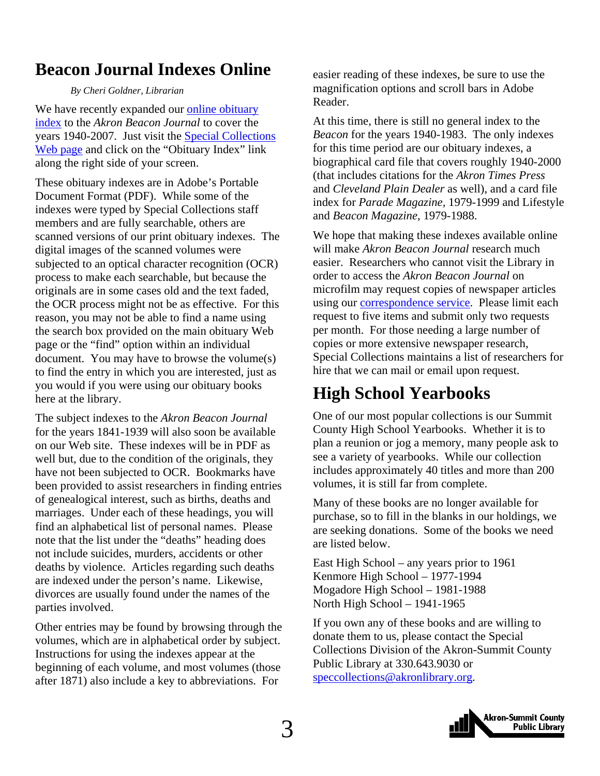## <span id="page-2-0"></span>**Beacon Journal Indexes Online**

 *By Cheri Goldner, Librarian* 

We have recently expanded our online obituary [index](http://www.akronlibrary.org/internetresources/sc/Obits/obits.html) to the *Akron Beacon Journal* to cover the years 1940-2007. Just visit the [Special Collections](http://www.akronlibrary.org/main-sc.html)  [Web page](http://www.akronlibrary.org/main-sc.html) and click on the "Obituary Index" link along the right side of your screen.

These obituary indexes are in Adobe's Portable Document Format (PDF). While some of the indexes were typed by Special Collections staff members and are fully searchable, others are scanned versions of our print obituary indexes. The digital images of the scanned volumes were subjected to an optical character recognition (OCR) process to make each searchable, but because the originals are in some cases old and the text faded, the OCR process might not be as effective. For this reason, you may not be able to find a name using the search box provided on the main obituary Web page or the "find" option within an individual document. You may have to browse the volume(s) to find the entry in which you are interested, just as you would if you were using our obituary books here at the library.

The subject indexes to the *Akron Beacon Journal* for the years 1841-1939 will also soon be available on our Web site. These indexes will be in PDF as well but, due to the condition of the originals, they have not been subjected to OCR. Bookmarks have been provided to assist researchers in finding entries of genealogical interest, such as births, deaths and marriages. Under each of these headings, you will find an alphabetical list of personal names. Please note that the list under the "deaths" heading does not include suicides, murders, accidents or other deaths by violence. Articles regarding such deaths are indexed under the person's name. Likewise, divorces are usually found under the names of the parties involved.

Other entries may be found by browsing through the volumes, which are in alphabetical order by subject. Instructions for using the indexes appear at the beginning of each volume, and most volumes (those after 1871) also include a key to abbreviations. For

easier reading of these indexes, be sure to use the magnification options and scroll bars in Adobe Reader.

At this time, there is still no general index to the *Beacon* for the years 1940-1983. The only indexes for this time period are our obituary indexes, a biographical card file that covers roughly 1940-2000 (that includes citations for the *Akron Times Press* and *Cleveland Plain Dealer* as well), and a card file index for *Parade Magazine,* 1979-1999 and Lifestyle and *Beacon Magazine*, 1979-1988.

We hope that making these indexes available online will make *Akron Beacon Journal* research much easier. Researchers who cannot visit the Library in order to access the *Akron Beacon Journal* on microfilm may request copies of newspaper articles using our [correspondence service.](http://www.akronlibrary.org/internetresources/sc/correspondence.html) Please limit each request to five items and submit only two requests per month. For those needing a large number of copies or more extensive newspaper research, Special Collections maintains a list of researchers for hire that we can mail or email upon request.

## **High School Yearbooks**

One of our most popular collections is our Summit County High School Yearbooks. Whether it is to plan a reunion or jog a memory, many people ask to see a variety of yearbooks. While our collection includes approximately 40 titles and more than 200 volumes, it is still far from complete.

Many of these books are no longer available for purchase, so to fill in the blanks in our holdings, we are seeking donations. Some of the books we need are listed below.

East High School – any years prior to 1961 Kenmore High School – 1977-1994 Mogadore High School – 1981-1988 North High School – 1941-1965

If you own any of these books and are willing to donate them to us, please contact the Special Collections Division of the Akron-Summit County Public Library at 330.643.9030 or [speccollections@akronlibrary.org](mailto:speccollections@akronlibrary.org).

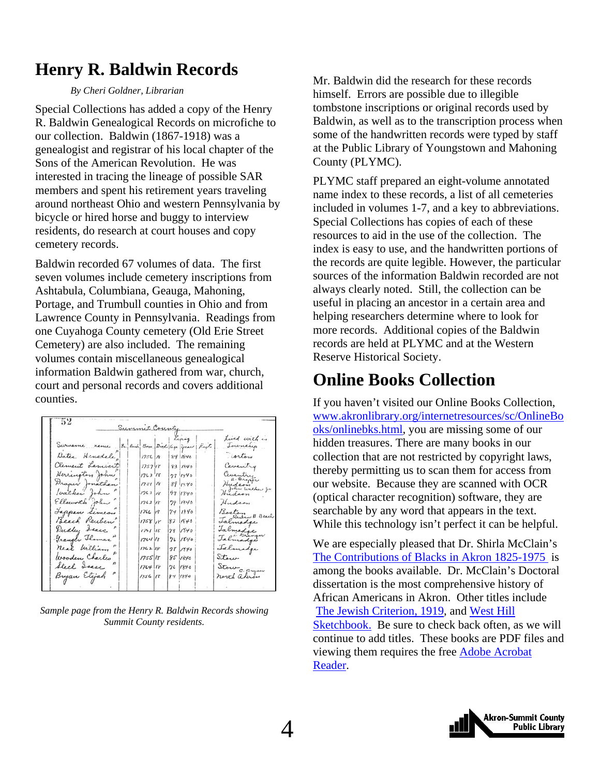## <span id="page-3-0"></span>**Henry R. Baldwin Records**

#### *By Cheri Goldner, Librarian*

Special Collections has added a copy of the Henry R. Baldwin Genealogical Records on microfiche to our collection. Baldwin (1867-1918) was a genealogist and registrar of his local chapter of the Sons of the American Revolution. He was interested in tracing the lineage of possible SAR members and spent his retirement years traveling around northeast Ohio and western Pennsylvania by bicycle or hired horse and buggy to interview residents, do research at court houses and copy cemetery records.

Baldwin recorded 67 volumes of data. The first seven volumes include cemetery inscriptions from Ashtabula, Columbiana, Geauga, Mahoning, Portage, and Trumbull counties in Ohio and from Lawrence County in Pennsylvania. Readings from one Cuyahoga County cemetery (Old Erie Street Cemetery) are also included. The remaining volumes contain miscellaneous genealogical information Baldwin gathered from war, church, court and personal records and covers additional counties.

|                       | Summit County |  | Lyring                 | Lived with an                         |
|-----------------------|---------------|--|------------------------|---------------------------------------|
| Survance rance 8. Rut |               |  | Bow Bird (up year Rest | Journaling                            |
| Bates Henedale,       | 1256/8        |  | 841840                 | corton                                |
| Clement Lamiert       | 1757/18       |  | 83 1840                | Ceventry                              |
| Herrington John.      | 1763'18       |  | 27/1540                | Ceventry                              |
| Praper Jonathan       | $1751$ $18$   |  | 8911840                | Hudson<br>Hudson<br>1) John Walker Jr |
| valker John "         | 1763 R        |  | 77 1840                | Audion                                |
| Ellsworth john        | $1762$ 18     |  | 78 1540                | Hudson                                |
| Jappen Limeon         | $1766$ $18$   |  | 74 1840                | Boston B Beach                        |
| Beach Reuben          | 175810        |  | 82   640               | Talmadge                              |
| Dudley Leave "        | $17 - 18$     |  | 79   1540              | Lalmadge                              |
| Tranger Flomar"       | $1764$ $18$   |  | $76$ 1840              | Jalmadge                              |
| neal William          | 176218        |  | 78/790                 | Jalmedge                              |
| Wooden Charles        | $1755$ 18     |  | 85 1840                | Stow-                                 |
| Steel Lease           | 176418        |  | 76 1840                |                                       |
| Bryan Elijah "        | $1756$ $18$   |  | 84   1840              | Stow C. Byzan                         |

*Sample page from the Henry R. Baldwin Records showing Summit County residents.* 

Mr. Baldwin did the research for these records himself. Errors are possible due to illegible tombstone inscriptions or original records used by Baldwin, as well as to the transcription process when some of the handwritten records were typed by staff at the Public Library of Youngstown and Mahoning County (PLYMC).

PLYMC staff prepared an eight-volume annotated name index to these records, a list of all cemeteries included in volumes 1-7, and a key to abbreviations. Special Collections has copies of each of these resources to aid in the use of the collection. The index is easy to use, and the handwritten portions of the records are quite legible. However, the particular sources of the information Baldwin recorded are not always clearly noted. Still, the collection can be useful in placing an ancestor in a certain area and helping researchers determine where to look for more records. Additional copies of the Baldwin records are held at PLYMC and at the Western Reserve Historical Society.

## **Online Books Collection**

If you haven't visited our Online Books Collection, [www.akronlibrary.org/internetresources/sc/OnlineBo](http://www.akronlibrary.org/internetresources/sc/OnlineBooks/onlinebks.html) [oks/onlinebks.html](http://www.akronlibrary.org/internetresources/sc/OnlineBooks/onlinebks.html), you are missing some of our hidden treasures. There are many books in our collection that are not restricted by copyright laws, thereby permitting us to scan them for access from our website. Because they are scanned with OCR (optical character recognition) software, they are searchable by any word that appears in the text. While this technology isn't perfect it can be helpful.

We are especially pleased that Dr. Shirla McClain's [The Contributions of Blacks in Akron 1825-1975 is](http://www.akronlibrary.org/internetresources/sc/OnlineBooks/Contribution_%20Blacks_Akron.pdf)  [among the books available. Dr. McClain's Doctoral](http://www.akronlibrary.org/internetresources/sc/OnlineBooks/Contribution_%20Blacks_Akron.pdf)  [dissertation is the most comprehensive history of](http://www.akronlibrary.org/internetresources/sc/OnlineBooks/Contribution_%20Blacks_Akron.pdf)  [African Americans in Akron. Other titles include](http://www.akronlibrary.org/internetresources/sc/OnlineBooks/Contribution_%20Blacks_Akron.pdf)  [The Jewish Criterion, 1919](http://www.akronlibrary.org/internetresources/sc/OnlineBooks/Jewish_Criterion.pdf), and West Hill Sketchbook. Be sure to check back often, as we will continue to add titles. These books are PDF files and viewing them requires the free [Adobe Acrobat](http://www.adobe.com/products/acrobat/readstep2.html)  [Reader.](http://www.adobe.com/products/acrobat/readstep2.html)

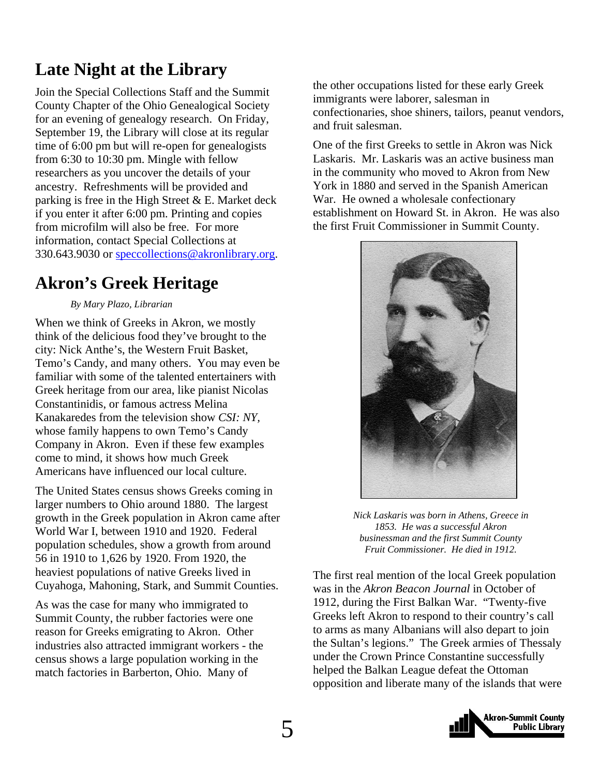## <span id="page-4-0"></span>**Late Night at the Library**

Join the Special Collections Staff and the Summit County Chapter of the Ohio Genealogical Society for an evening of genealogy research. On Friday, September 19, the Library will close at its regular time of 6:00 pm but will re-open for genealogists from 6:30 to 10:30 pm. Mingle with fellow researchers as you uncover the details of your ancestry. Refreshments will be provided and parking is free in the High Street  $& E.$  Market deck if you enter it after 6:00 pm. Printing and copies from microfilm will also be free. For more information, contact Special Collections at 330.643.9030 or speccollections @akronlibrary.org.

## **Akron's Greek Heritage**

#### *By Mary Plazo, Librarian*

When we think of Greeks in Akron, we mostly think of the delicious food they've brought to the city: Nick Anthe's, the Western Fruit Basket, Temo's Candy, and many others. You may even be familiar with some of the talented entertainers with Greek heritage from our area, like pianist Nicolas Constantinidis, or famous actress Melina Kanakaredes from the television show *CSI: NY,*  whose family happens to own Temo's Candy Company in Akron. Even if these few examples come to mind, it shows how much Greek Americans have influenced our local culture.

The United States census shows Greeks coming in larger numbers to Ohio around 1880. The largest growth in the Greek population in Akron came after World War I, between 1910 and 1920. Federal population schedules, show a growth from around 56 in 1910 to 1,626 by 1920. From 1920, the heaviest populations of native Greeks lived in Cuyahoga, Mahoning, Stark, and Summit Counties.

As was the case for many who immigrated to Summit County, the rubber factories were one reason for Greeks emigrating to Akron. Other industries also attracted immigrant workers - the census shows a large population working in the match factories in Barberton, Ohio. Many of

the other occupations listed for these early Greek immigrants were laborer, salesman in confectionaries, shoe shiners, tailors, peanut vendors, and fruit salesman.

One of the first Greeks to settle in Akron was Nick Laskaris. Mr. Laskaris was an active business man in the community who moved to Akron from New York in 1880 and served in the Spanish American War. He owned a wholesale confectionary establishment on Howard St. in Akron. He was also the first Fruit Commissioner in Summit County.



*Nick Laskaris was born in Athens, Greece in 1853. He was a successful Akron businessman and the first Summit County Fruit Commissioner. He died in 1912.* 

The first real mention of the local Greek population was in the *Akron Beacon Journal* in October of 1912, during the First Balkan War. "Twenty-five Greeks left Akron to respond to their country's call to arms as many Albanians will also depart to join the Sultan's legions." The Greek armies of Thessaly under the Crown Prince Constantine successfully helped the Balkan League defeat the Ottoman opposition and liberate many of the islands that were

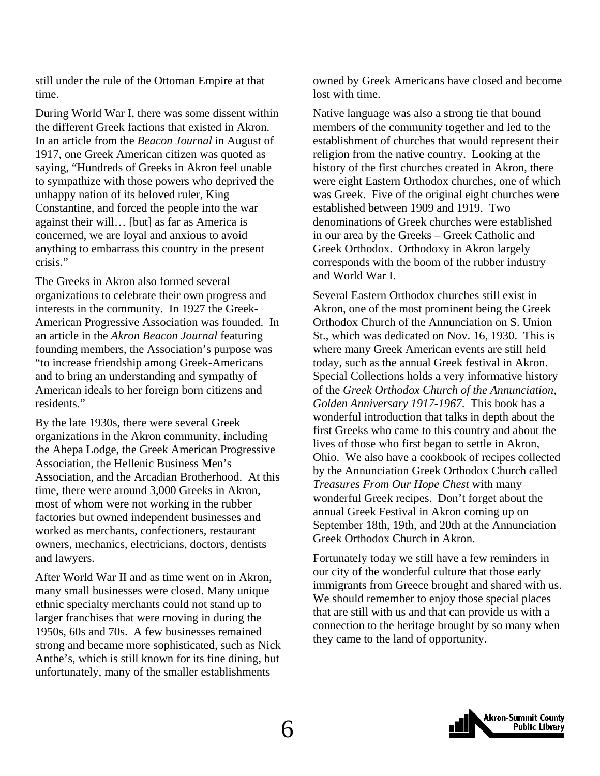still under the rule of the Ottoman Empire at that time.

During World War I, there was some dissent within the different Greek factions that existed in Akron. In an article from the *Beacon Journal* in August of 1917, one Greek American citizen was quoted as saying, "Hundreds of Greeks in Akron feel unable to sympathize with those powers who deprived the unhappy nation of its beloved ruler, King Constantine, and forced the people into the war against their will… [but] as far as America is concerned, we are loyal and anxious to avoid anything to embarrass this country in the present crisis."

The Greeks in Akron also formed several organizations to celebrate their own progress and interests in the community. In 1927 the Greek-American Progressive Association was founded. In an article in the *Akron Beacon Journal* featuring founding members, the Association's purpose was "to increase friendship among Greek-Americans and to bring an understanding and sympathy of American ideals to her foreign born citizens and residents."

By the late 1930s, there were several Greek organizations in the Akron community, including the Ahepa Lodge, the Greek American Progressive Association, the Hellenic Business Men's Association, and the Arcadian Brotherhood. At this time, there were around 3,000 Greeks in Akron, most of whom were not working in the rubber factories but owned independent businesses and worked as merchants, confectioners, restaurant owners, mechanics, electricians, doctors, dentists and lawyers.

After World War II and as time went on in Akron, many small businesses were closed. Many unique ethnic specialty merchants could not stand up to larger franchises that were moving in during the 1950s, 60s and 70s. A few businesses remained strong and became more sophisticated, such as Nick Anthe's, which is still known for its fine dining, but unfortunately, many of the smaller establishments

owned by Greek Americans have closed and become lost with time.

Native language was also a strong tie that bound members of the community together and led to the establishment of churches that would represent their religion from the native country. Looking at the history of the first churches created in Akron, there were eight Eastern Orthodox churches, one of which was Greek. Five of the original eight churches were established between 1909 and 1919. Two denominations of Greek churches were established in our area by the Greeks – Greek Catholic and Greek Orthodox. Orthodoxy in Akron largely corresponds with the boom of the rubber industry and World War I.

Several Eastern Orthodox churches still exist in Akron, one of the most prominent being the Greek Orthodox Church of the Annunciation on S. Union St., which was dedicated on Nov. 16, 1930. This is where many Greek American events are still held today, such as the annual Greek festival in Akron. Special Collections holds a very informative history of the *Greek Orthodox Church of the Annunciation, Golden Anniversary 1917-1967*. This book has a wonderful introduction that talks in depth about the first Greeks who came to this country and about the lives of those who first began to settle in Akron, Ohio. We also have a cookbook of recipes collected by the Annunciation Greek Orthodox Church called *Treasures From Our Hope Chest* with many wonderful Greek recipes. Don't forget about the annual Greek Festival in Akron coming up on September 18th, 19th, and 20th at the Annunciation Greek Orthodox Church in Akron.

Fortunately today we still have a few reminders in our city of the wonderful culture that those early immigrants from Greece brought and shared with us. We should remember to enjoy those special places that are still with us and that can provide us with a connection to the heritage brought by so many when they came to the land of opportunity.

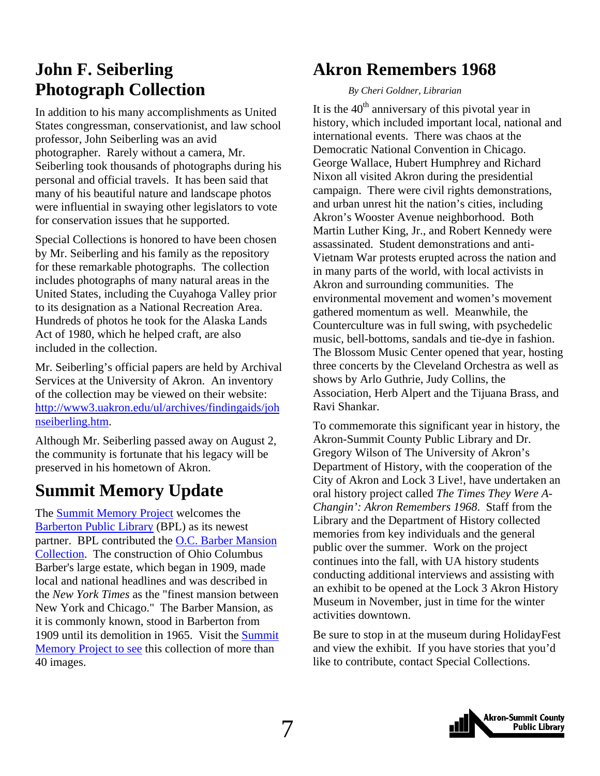## <span id="page-6-0"></span>**John F. Seiberling Photograph Collection**

In addition to his many accomplishments as United States congressman, conservationist, and law school professor, John Seiberling was an avid photographer. Rarely without a camera, Mr. Seiberling took thousands of photographs during his personal and official travels. It has been said that many of his beautiful nature and landscape photos were influential in swaying other legislators to vote for conservation issues that he supported.

Special Collections is honored to have been chosen by Mr. Seiberling and his family as the repository for these remarkable photographs. The collection includes photographs of many natural areas in the United States, including the Cuyahoga Valley prior to its designation as a National Recreation Area. Hundreds of photos he took for the Alaska Lands Act of 1980, which he helped craft, are also included in the collection.

Mr. Seiberling's official papers are held by Archival Services at the University of Akron. An inventory of the collection may be viewed on their website: [http://www3.uakron.edu/ul/archives/findingaids/joh](http://www3.uakron.edu/ul/archives/findingaids/johnseiberling.htm) [nseiberling.htm.](http://www3.uakron.edu/ul/archives/findingaids/johnseiberling.htm)

Although Mr. Seiberling passed away on August 2, the community is fortunate that his legacy will be preserved in his hometown of Akron.

## **Summit Memory Update**

The [Summit Memory Project](http://www.summitmemory.org/) welcomes the [Barberton Public Library](http://www.barberton.lib.oh.us/) (BPL) as its newest partner. BPL contributed the [O.C. Barber Mansion](http://www.summitmemory.org/cdm4/browse.php)  [Collection.](http://www.summitmemory.org/cdm4/browse.php) The construction of Ohio Columbus Barber's large estate, which began in 1909, made local and national headlines and was described in the *New York Times* as the "finest mansion between New York and Chicago." The Barber Mansion, as it is commonly known, stood in Barberton from 1909 until its demolition in 1965. Visit the [Summit](http://www.summitmemory.org/cdm4/browse.php)  [Memory Project to see](http://www.summitmemory.org/cdm4/browse.php) this collection of more than 40 images.

## **Akron Remembers 1968**

#### *By Cheri Goldner, Librarian*

It is the  $40<sup>th</sup>$  anniversary of this pivotal year in history, which included important local, national and international events. There was chaos at the Democratic National Convention in Chicago. George Wallace, Hubert Humphrey and Richard Nixon all visited Akron during the presidential campaign. There were civil rights demonstrations, and urban unrest hit the nation's cities, including Akron's Wooster Avenue neighborhood. Both Martin Luther King, Jr., and Robert Kennedy were assassinated. Student demonstrations and anti-Vietnam War protests erupted across the nation and in many parts of the world, with local activists in Akron and surrounding communities. The environmental movement and women's movement gathered momentum as well. Meanwhile, the Counterculture was in full swing, with psychedelic music, bell-bottoms, sandals and tie-dye in fashion. The Blossom Music Center opened that year, hosting three concerts by the Cleveland Orchestra as well as shows by Arlo Guthrie, Judy Collins, the Association, Herb Alpert and the Tijuana Brass, and Ravi Shankar.

To commemorate this significant year in history, the Akron-Summit County Public Library and Dr. Gregory Wilson of The University of Akron's Department of History, with the cooperation of the City of Akron and Lock 3 Live!, have undertaken an oral history project called *The Times They Were A-Changin': Akron Remembers 1968*. Staff from the Library and the Department of History collected memories from key individuals and the general public over the summer. Work on the project continues into the fall, with UA history students conducting additional interviews and assisting with an exhibit to be opened at the Lock 3 Akron History Museum in November, just in time for the winter activities downtown.

Be sure to stop in at the museum during HolidayFest and view the exhibit. If you have stories that you'd like to contribute, contact Special Collections.

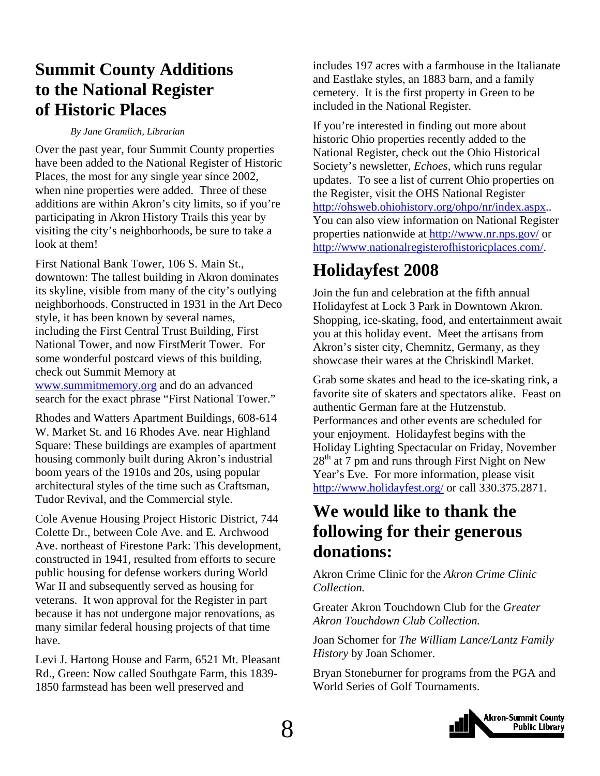## <span id="page-7-0"></span>**Summit County Additions to the National Register of Historic Places**

#### *By Jane Gramlich, Librarian*

Over the past year, four Summit County properties have been added to the National Register of Historic Places, the most for any single year since 2002, when nine properties were added. Three of these additions are within Akron's city limits, so if you're participating in Akron History Trails this year by visiting the city's neighborhoods, be sure to take a look at them!

First National Bank Tower, 106 S. Main St., downtown: The tallest building in Akron dominates its skyline, visible from many of the city's outlying neighborhoods. Constructed in 1931 in the Art Deco style, it has been known by several names, including the First Central Trust Building, First National Tower, and now FirstMerit Tower. For some wonderful postcard views of this building, check out Summit Memory at [www.summitmemory.org](http://www.summitmemory.org/) and do an advanced search for the exact phrase "First National Tower."

Rhodes and Watters Apartment Buildings, 608-614 W. Market St. and 16 Rhodes Ave. near Highland Square: These buildings are examples of apartment housing commonly built during Akron's industrial boom years of the 1910s and 20s, using popular architectural styles of the time such as Craftsman, Tudor Revival, and the Commercial style.

Cole Avenue Housing Project Historic District, 744 Colette Dr., between Cole Ave. and E. Archwood Ave. northeast of Firestone Park: This development, constructed in 1941, resulted from efforts to secure public housing for defense workers during World War II and subsequently served as housing for veterans. It won approval for the Register in part because it has not undergone major renovations, as many similar federal housing projects of that time have.

Levi J. Hartong House and Farm, 6521 Mt. Pleasant Rd., Green: Now called Southgate Farm, this 1839- 1850 farmstead has been well preserved and

includes 197 acres with a farmhouse in the Italianate and Eastlake styles, an 1883 barn, and a family cemetery. It is the first property in Green to be included in the National Register.

If you're interested in finding out more about historic Ohio properties recently added to the National Register, check out the Ohio Historical Society's newsletter, *Echoes*, which runs regular updates. To see a list of current Ohio properties on the Register, visit the OHS National Register <http://ohsweb.ohiohistory.org/ohpo/nr/index.aspx>.. You can also view information on National Register properties nationwide at<http://www.nr.nps.gov/> or [http://www.nationalregisterofhistoricplaces.com/.](http://www.nationalregisterofhistoricplaces.com/)

## **Holidayfest 2008**

Join the fun and celebration at the fifth annual Holidayfest at Lock 3 Park in Downtown Akron. Shopping, ice-skating, food, and entertainment await you at this holiday event. Meet the artisans from Akron's sister city, Chemnitz, Germany, as they showcase their wares at the Chriskindl Market.

Grab some skates and head to the ice-skating rink, a favorite site of skaters and spectators alike. Feast on authentic German fare at the Hutzenstub. Performances and other events are scheduled for your enjoyment. Holidayfest begins with the Holiday Lighting Spectacular on Friday, November  $28<sup>th</sup>$  at 7 pm and runs through First Night on New Year's Eve. For more information, please visit <http://www.holidayfest.org/>or call 330.375.2871.

## **We would like to thank the following for their generous donations:**

Akron Crime Clinic for the *Akron Crime Clinic Collection.*

Greater Akron Touchdown Club for the *Greater Akron Touchdown Club Collection.*

Joan Schomer for *The William Lance/Lantz Family History* by Joan Schomer.

Bryan Stoneburner for programs from the PGA and World Series of Golf Tournaments.

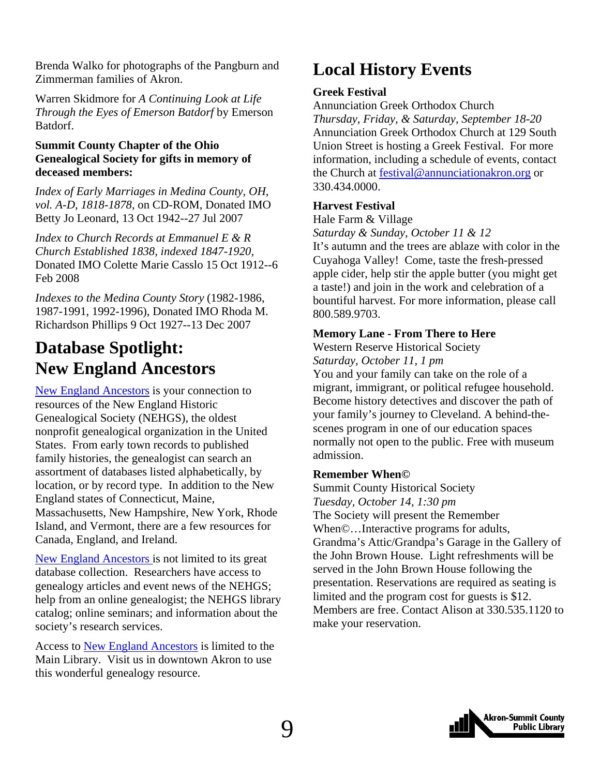<span id="page-8-0"></span>Brenda Walko for photographs of the Pangburn and Zimmerman families of Akron.

Warren Skidmore for *A Continuing Look at Life Through the Eyes of Emerson Batdorf* by Emerson Batdorf.

#### **Summit County Chapter of the Ohio Genealogical Society for gifts in memory of deceased members:**

*Index of Early Marriages in Medina County, OH, vol. A-D, 1818-1878*, on CD-ROM, Donated IMO Betty Jo Leonard, 13 Oct 1942--27 Jul 2007

*Index to Church Records at Emmanuel E & R Church Established 1838, indexed 1847-1920,*  Donated IMO Colette Marie Casslo 15 Oct 1912--6 Feb 2008

*Indexes to the Medina County Story* (1982-1986, 1987-1991, 1992-1996), Donated IMO Rhoda M. Richardson Phillips 9 Oct 1927--13 Dec 2007

## **Database Spotlight: New England Ancestors**

[New England Ancestors](http://www.newenglandancestors.org/) is your connection to resources of the New England Historic Genealogical Society (NEHGS), the oldest nonprofit genealogical organization in the United States. From early town records to published family histories, the genealogist can search an assortment of databases listed alphabetically, by location, or by record type. In addition to the New England states of Connecticut, Maine, Massachusetts, New Hampshire, New York, Rhode Island, and Vermont, there are a few resources for Canada, England, and Ireland.

[New England Ancestors i](http://www.newenglandancestors.org/)s not limited to its great database collection. Researchers have access to genealogy articles and event news of the NEHGS; help from an online genealogist; the NEHGS library catalog; online seminars; and information about the society's research services.

Access to [New England Ancestors](http://www.newenglandancestors.org/) is limited to the Main Library. Visit us in downtown Akron to use this wonderful genealogy resource.

## **Local History Events**

#### **Greek Festival**

Annunciation Greek Orthodox Church *Thursday, Friday, & Saturday, September 18-20*  Annunciation Greek Orthodox Church at 129 South Union Street is hosting a Greek Festival. For more information, including a schedule of events, contact the Church at [festival@annunciationakron.org](mailto:festival@annunciationakron.org) or 330.434.0000.

#### **Harvest Festival**

Hale Farm & Village

*Saturday & Sunday, October 11 & 12* 

It's autumn and the trees are ablaze with color in the Cuyahoga Valley! Come, taste the fresh-pressed apple cider, help stir the apple butter (you might get a taste!) and join in the work and celebration of a bountiful harvest. For more information, please call 800.589.9703.

#### **Memory Lane - From There to Here**

Western Reserve Historical Society *Saturday, October 11, 1 pm*

You and your family can take on the role of a migrant, immigrant, or political refugee household. Become history detectives and discover the path of your family's journey to Cleveland. A behind-thescenes program in one of our education spaces normally not open to the public. Free with museum admission.

#### **Remember When©**

Summit County Historical Society *Tuesday, October 14, 1:30 pm*  The Society will present the Remember When©...Interactive programs for adults, Grandma's Attic/Grandpa's Garage in the Gallery of the John Brown House. Light refreshments will be served in the John Brown House following the presentation. Reservations are required as seating is limited and the program cost for guests is \$12. Members are free. Contact Alison at 330.535.1120 to make your reservation.

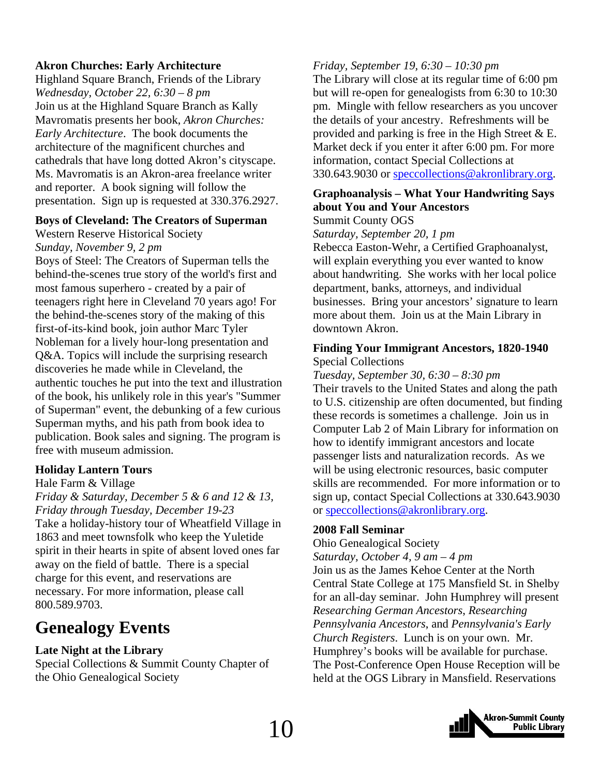#### **Akron Churches: Early Architecture**

Highland Square Branch, Friends of the Library *Wednesday, October 22, 6:30 – 8 pm*  Join us at the Highland Square Branch as Kally Mavromatis presents her book, *Akron Churches: Early Architecture*. The book documents the architecture of the magnificent churches and cathedrals that have long dotted Akron's cityscape. Ms. Mavromatis is an Akron-area freelance writer and reporter. A book signing will follow the presentation. Sign up is requested at 330.376.2927.

#### **Boys of Cleveland: The Creators of Superman**

Western Reserve Historical Society *Sunday, November 9, 2 pm*

Boys of Steel: The Creators of Superman tells the behind-the-scenes true story of the world's first and most famous superhero - created by a pair of teenagers right here in Cleveland 70 years ago! For the behind-the-scenes story of the making of this first-of-its-kind book, join author Marc Tyler Nobleman for a lively hour-long presentation and Q&A. Topics will include the surprising research discoveries he made while in Cleveland, the authentic touches he put into the text and illustration of the book, his unlikely role in this year's "Summer of Superman" event, the debunking of a few curious Superman myths, and his path from book idea to publication. Book sales and signing. The program is free with museum admission.

#### **Holiday Lantern Tours**

#### Hale Farm & Village

*Friday & Saturday, December 5 & 6 and 12 & 13, Friday through Tuesday, December 19-23*  Take a holiday-history tour of Wheatfield Village in 1863 and meet townsfolk who keep the Yuletide spirit in their hearts in spite of absent loved ones far away on the field of battle. There is a special charge for this event, and reservations are necessary. For more information, please call 800.589.9703.

## **Genealogy Events**

#### **Late Night at the Library**

Special Collections & Summit County Chapter of the Ohio Genealogical Society

#### *Friday, September 19, 6:30 – 10:30 pm*

The Library will close at its regular time of 6:00 pm but will re-open for genealogists from 6:30 to 10:30 pm. Mingle with fellow researchers as you uncover the details of your ancestry. Refreshments will be provided and parking is free in the High Street & E. Market deck if you enter it after 6:00 pm. For more information, contact Special Collections at 330.643.9030 or [speccollections@akronlibrary.org](mailto:speccollections@akronlibrary.org).

#### **Graphoanalysis – What Your Handwriting Says about You and Your Ancestors**

Summit County OGS *Saturday, September 20, 1 pm* 

Rebecca Easton-Wehr, a Certified Graphoanalyst, will explain everything you ever wanted to know about handwriting. She works with her local police department, banks, attorneys, and individual businesses. Bring your ancestors' signature to learn more about them. Join us at the Main Library in downtown Akron.

#### **Finding Your Immigrant Ancestors, 1820-1940**  Special Collections

*Tuesday, September 30, 6:30 – 8:30 pm*  Their travels to the United States and along the path to U.S. citizenship are often documented, but finding these records is sometimes a challenge. Join us in Computer Lab 2 of Main Library for information on how to identify immigrant ancestors and locate passenger lists and naturalization records. As we will be using electronic resources, basic computer skills are recommended. For more information or to sign up, contact Special Collections at 330.643.9030 or [speccollections@akronlibrary.org](mailto:speccollections@akronlibrary.org).

#### **2008 Fall Seminar**

Ohio Genealogical Society

*Saturday, October 4, 9 am – 4 pm* 

Join us as the James Kehoe Center at the North Central State College at 175 Mansfield St. in Shelby for an all-day seminar. John Humphrey will present *Researching German Ancestors*, *Researching Pennsylvania Ancestors*, and *Pennsylvania's Early Church Registers*. Lunch is on your own. Mr. Humphrey's books will be available for purchase. The Post-Conference Open House Reception will be held at the OGS Library in Mansfield. Reservations

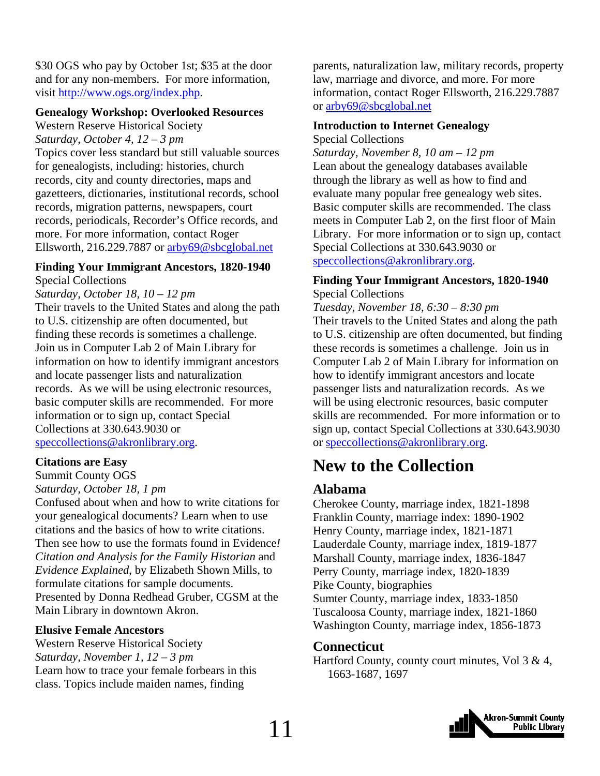\$30 OGS who pay by October 1st; \$35 at the door and for any non-members. For more information, visit <http://www.ogs.org/index.php>.

#### **Genealogy Workshop: Overlooked Resources**

Western Reserve Historical Society

*Saturday, October 4, 12 – 3 pm*  Topics cover less standard but still valuable sources for genealogists, including: histories, church records, city and county directories, maps and gazetteers, dictionaries, institutional records, school records, migration patterns, newspapers, court records, periodicals, Recorder's Office records, and more. For more information, contact Roger Ellsworth, 216.229.7887 or [arby69@sbcglobal.net](mailto:arby69@sbcglobal.net)

#### **Finding Your Immigrant Ancestors, 1820-1940**

Special Collections

*Saturday, October 18, 10 – 12 pm* 

Their travels to the United States and along the path to U.S. citizenship are often documented, but finding these records is sometimes a challenge. Join us in Computer Lab 2 of Main Library for information on how to identify immigrant ancestors and locate passenger lists and naturalization records. As we will be using electronic resources, basic computer skills are recommended. For more information or to sign up, contact Special Collections at 330.643.9030 or [speccollections@akronlibrary.org.](mailto:speccollections@akronlibrary.org)

#### **Citations are Easy**

Summit County OGS

#### *Saturday, October 18, 1 pm*

Confused about when and how to write citations for your genealogical documents? Learn when to use citations and the basics of how to write citations. Then see how to use the formats found in Evidence*! Citation and Analysis for the Family Historian* and *Evidence Explained*, by Elizabeth Shown Mills, to formulate citations for sample documents. Presented by Donna Redhead Gruber, CGSM at the Main Library in downtown Akron.

#### **Elusive Female Ancestors**

Western Reserve Historical Society *Saturday, November 1, 12 – 3 pm*  Learn how to trace your female forbears in this class. Topics include maiden names, finding

parents, naturalization law, military records, property law, marriage and divorce, and more. For more information, contact Roger Ellsworth, 216.229.7887 or [arby69@sbcglobal.net](mailto:arby69@sbcglobal.net)

#### **Introduction to Internet Genealogy**

Special Collections

*Saturday, November 8, 10 am – 12 pm*  Lean about the genealogy databases available through the library as well as how to find and evaluate many popular free genealogy web sites. Basic computer skills are recommended. The class meets in Computer Lab 2, on the first floor of Main Library. For more information or to sign up, contact Special Collections at 330.643.9030 or [speccollections@akronlibrary.org](mailto:speccollections@akronlibrary.org).

#### **Finding Your Immigrant Ancestors, 1820-1940**  Special Collections

*Tuesday, November 18, 6:30 – 8:30 pm*  Their travels to the United States and along the path to U.S. citizenship are often documented, but finding these records is sometimes a challenge. Join us in Computer Lab 2 of Main Library for information on how to identify immigrant ancestors and locate passenger lists and naturalization records. As we will be using electronic resources, basic computer skills are recommended. For more information or to sign up, contact Special Collections at 330.643.9030 or [speccollections@akronlibrary.org](mailto:speccollections@akronlibrary.org).

## **New to the Collection**

#### **Alabama**

Cherokee County, marriage index, 1821-1898 Franklin County, marriage index: 1890-1902 Henry County, marriage index, 1821-1871 Lauderdale County, marriage index, 1819-1877 Marshall County, marriage index, 1836-1847 Perry County, marriage index, 1820-1839 Pike County, biographies Sumter County, marriage index, 1833-1850 Tuscaloosa County, marriage index, 1821-1860 Washington County, marriage index, 1856-1873

#### **Connecticut**

Hartford County, county court minutes, Vol  $3 \& 4$ , 1663-1687, 1697

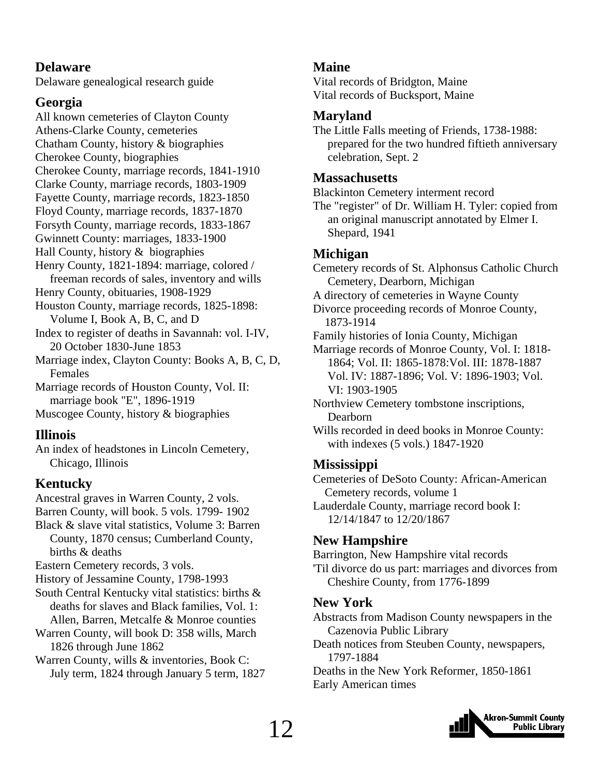#### <span id="page-11-0"></span>**Delaware**

Delaware genealogical research guide

### **Georgia**

All known cemeteries of Clayton County Athens-Clarke County, cemeteries Chatham County, history & biographies Cherokee County, biographies Cherokee County, marriage records, 1841-1910 Clarke County, marriage records, 1803-1909 Fayette County, marriage records, 1823-1850 Floyd County, marriage records, 1837-1870 Forsyth County, marriage records, 1833-1867 Gwinnett County: marriages, 1833-1900 Hall County, history & biographies Henry County, 1821-1894: marriage, colored / freeman records of sales, inventory and wills Henry County, obituaries, 1908-1929 Houston County, marriage records, 1825-1898: Volume I, Book A, B, C, and D Index to register of deaths in Savannah: vol. I-IV, 20 October 1830-June 1853 Marriage index, Clayton County: Books A, B, C, D, Females Marriage records of Houston County, Vol. II: marriage book "E", 1896-1919 Muscogee County, history & biographies

## **Illinois**

An index of headstones in Lincoln Cemetery, Chicago, Illinois

## **Kentucky**

Ancestral graves in Warren County, 2 vols.

Barren County, will book. 5 vols. 1799- 1902

Black & slave vital statistics, Volume 3: Barren County, 1870 census; Cumberland County, births & deaths

Eastern Cemetery records, 3 vols.

History of Jessamine County, 1798-1993

- South Central Kentucky vital statistics: births & deaths for slaves and Black families, Vol. 1: Allen, Barren, Metcalfe & Monroe counties
- Warren County, will book D: 358 wills, March 1826 through June 1862

Warren County, wills & inventories, Book C: July term, 1824 through January 5 term, 1827

#### **Maine**

Vital records of Bridgton, Maine Vital records of Bucksport, Maine

### **Maryland**

The Little Falls meeting of Friends, 1738-1988: prepared for the two hundred fiftieth anniversary celebration, Sept. 2

#### **Massachusetts**

Blackinton Cemetery interment record

The "register" of Dr. William H. Tyler: copied from an original manuscript annotated by Elmer I. Shepard, 1941

## **Michigan**

Cemetery records of St. Alphonsus Catholic Church Cemetery, Dearborn, Michigan

A directory of cemeteries in Wayne County

Divorce proceeding records of Monroe County, 1873-1914

Family histories of Ionia County, Michigan

Marriage records of Monroe County, Vol. I: 1818- 1864; Vol. II: 1865-1878:Vol. III: 1878-1887 Vol. IV: 1887-1896; Vol. V: 1896-1903; Vol. VI: 1903-1905

Northview Cemetery tombstone inscriptions, Dearborn

Wills recorded in deed books in Monroe County: with indexes (5 vols.) 1847-1920

## **Mississippi**

Cemeteries of DeSoto County: African-American Cemetery records, volume 1 Lauderdale County, marriage record book I: 12/14/1847 to 12/20/1867

## **New Hampshire**

Barrington, New Hampshire vital records 'Til divorce do us part: marriages and divorces from Cheshire County, from 1776-1899

## **New York**

Abstracts from Madison County newspapers in the Cazenovia Public Library

Death notices from Steuben County, newspapers, 1797-1884

Deaths in the New York Reformer, 1850-1861 Early American times

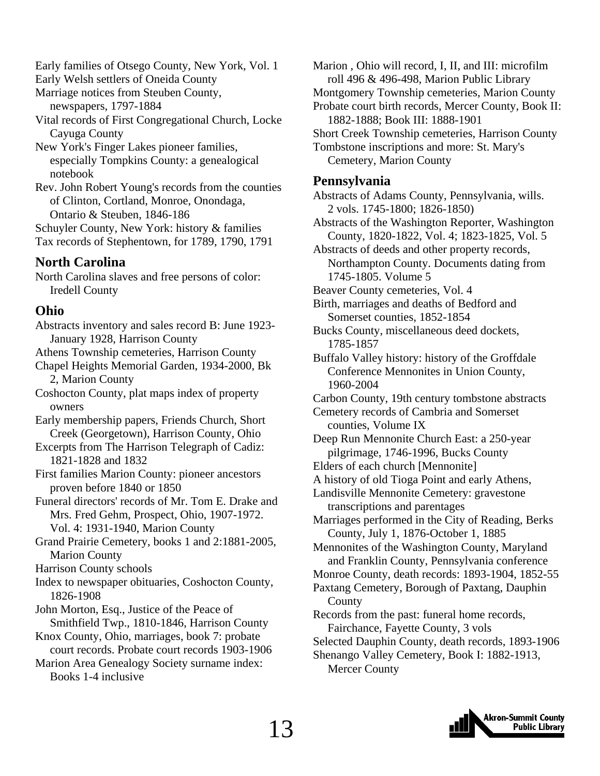Early families of Otsego County, New York, Vol. 1

Early Welsh settlers of Oneida County

Marriage notices from Steuben County, newspapers, 1797-1884

Vital records of First Congregational Church, Locke Cayuga County

New York's Finger Lakes pioneer families, especially Tompkins County: a genealogical notebook

Rev. John Robert Young's records from the counties of Clinton, Cortland, Monroe, Onondaga, Ontario & Steuben, 1846-186

Schuyler County, New York: history & families Tax records of Stephentown, for 1789, 1790, 1791

#### **North Carolina**

North Carolina slaves and free persons of color: Iredell County

#### **Ohio**

Abstracts inventory and sales record B: June 1923- January 1928, Harrison County

Athens Township cemeteries, Harrison County

Chapel Heights Memorial Garden, 1934-2000, Bk 2, Marion County

Coshocton County, plat maps index of property owners

Early membership papers, Friends Church, Short Creek (Georgetown), Harrison County, Ohio

Excerpts from The Harrison Telegraph of Cadiz: 1821-1828 and 1832

First families Marion County: pioneer ancestors proven before 1840 or 1850

Funeral directors' records of Mr. Tom E. Drake and Mrs. Fred Gehm, Prospect, Ohio, 1907-1972. Vol. 4: 1931-1940, Marion County

Grand Prairie Cemetery, books 1 and 2:1881-2005, Marion County

Harrison County schools

Index to newspaper obituaries, Coshocton County, 1826-1908

John Morton, Esq., Justice of the Peace of Smithfield Twp., 1810-1846, Harrison County

Knox County, Ohio, marriages, book 7: probate court records. Probate court records 1903-1906

Marion Area Genealogy Society surname index: Books 1-4 inclusive

Marion , Ohio will record, I, II, and III: microfilm roll 496 & 496-498, Marion Public Library Montgomery Township cemeteries, Marion County Probate court birth records, Mercer County, Book II: 1882-1888; Book III: 1888-1901 Short Creek Township cemeteries, Harrison County Tombstone inscriptions and more: St. Mary's Cemetery, Marion County

#### **Pennsylvania**

Abstracts of Adams County, Pennsylvania, wills. 2 vols. 1745-1800; 1826-1850)

Abstracts of the Washington Reporter, Washington County, 1820-1822, Vol. 4; 1823-1825, Vol. 5

Abstracts of deeds and other property records, Northampton County. Documents dating from 1745-1805. Volume 5

Beaver County cemeteries, Vol. 4

Birth, marriages and deaths of Bedford and Somerset counties, 1852-1854

Bucks County, miscellaneous deed dockets, 1785-1857

Buffalo Valley history: history of the Groffdale Conference Mennonites in Union County, 1960-2004

Carbon County, 19th century tombstone abstracts

Cemetery records of Cambria and Somerset counties, Volume IX

Deep Run Mennonite Church East: a 250-year pilgrimage, 1746-1996, Bucks County

- Elders of each church [Mennonite]
- A history of old Tioga Point and early Athens,

Landisville Mennonite Cemetery: gravestone transcriptions and parentages

Marriages performed in the City of Reading, Berks County, July 1, 1876-October 1, 1885

Mennonites of the Washington County, Maryland and Franklin County, Pennsylvania conference

Monroe County, death records: 1893-1904, 1852-55

Paxtang Cemetery, Borough of Paxtang, Dauphin County

Records from the past: funeral home records, Fairchance, Fayette County, 3 vols

Selected Dauphin County, death records, 1893-1906

Shenango Valley Cemetery, Book I: 1882-1913, Mercer County

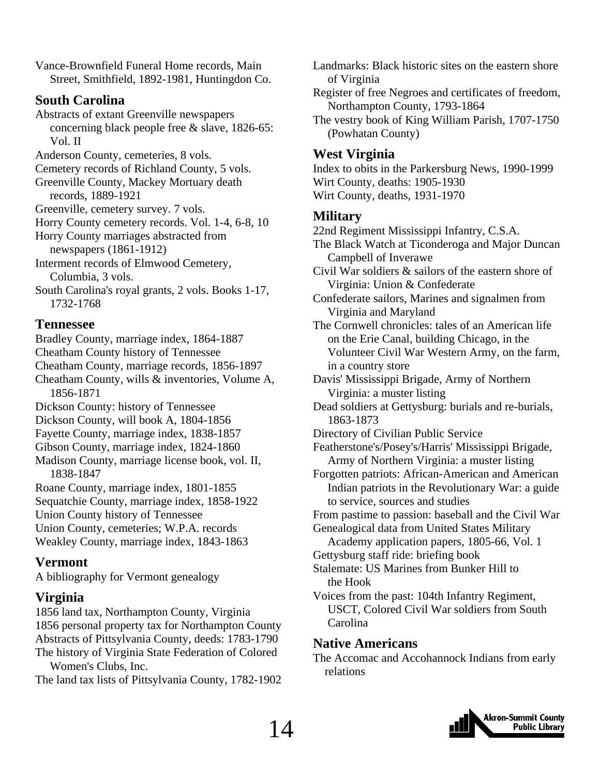Vance-Brownfield Funeral Home records, Main Street, Smithfield, 1892-1981, Huntingdon Co.

#### **South Carolina**

Abstracts of extant Greenville newspapers concerning black people free & slave, 1826-65: Vol. II

Anderson County, cemeteries, 8 vols.

Cemetery records of Richland County, 5 vols.

Greenville County, Mackey Mortuary death records, 1889-1921

Greenville, cemetery survey. 7 vols.

Horry County cemetery records. Vol. 1-4, 6-8, 10

Horry County marriages abstracted from newspapers (1861-1912)

Interment records of Elmwood Cemetery, Columbia, 3 vols.

South Carolina's royal grants, 2 vols. Books 1-17, 1732-1768

#### **Tennessee**

Bradley County, marriage index, 1864-1887 Cheatham County history of Tennessee

Cheatham County, marriage records, 1856-1897

Cheatham County, wills & inventories, Volume A, 1856-1871

Dickson County: history of Tennessee

Dickson County, will book A, 1804-1856

Fayette County, marriage index, 1838-1857

Gibson County, marriage index, 1824-1860

Madison County, marriage license book, vol. II, 1838-1847

Roane County, marriage index, 1801-1855 Sequatchie County, marriage index, 1858-1922 Union County history of Tennessee Union County, cemeteries; W.P.A. records Weakley County, marriage index, 1843-1863

#### **Vermont**

A bibliography for Vermont genealogy

#### **Virginia**

1856 land tax, Northampton County, Virginia 1856 personal property tax for Northampton County Abstracts of Pittsylvania County, deeds: 1783-1790 The history of Virginia State Federation of Colored Women's Clubs, Inc.

The land tax lists of Pittsylvania County, 1782-1902

Landmarks: Black historic sites on the eastern shore of Virginia

Register of free Negroes and certificates of freedom, Northampton County, 1793-1864

The vestry book of King William Parish, 1707-1750 (Powhatan County)

#### **West Virginia**

Index to obits in the Parkersburg News, 1990-1999 Wirt County, deaths: 1905-1930 Wirt County, deaths, 1931-1970

#### **Military**

22nd Regiment Mississippi Infantry, C.S.A. The Black Watch at Ticonderoga and Major Duncan Campbell of Inverawe Civil War soldiers & sailors of the eastern shore of Virginia: Union & Confederate Confederate sailors, Marines and signalmen from Virginia and Maryland The Cornwell chronicles: tales of an American life on the Erie Canal, building Chicago, in the Volunteer Civil War Western Army, on the farm, in a country store Davis' Mississippi Brigade, Army of Northern Virginia: a muster listing Dead soldiers at Gettysburg: burials and re-burials, 1863-1873 Directory of Civilian Public Service Featherstone's/Posey's/Harris' Mississippi Brigade, Army of Northern Virginia: a muster listing Forgotten patriots: African-American and American Indian patriots in the Revolutionary War: a guide to service, sources and studies From pastime to passion: baseball and the Civil War Genealogical data from United States Military Academy application papers, 1805-66, Vol. 1 Gettysburg staff ride: briefing book Stalemate: US Marines from Bunker Hill to the Hook Voices from the past: 104th Infantry Regiment, USCT, Colored Civil War soldiers from South Carolina

#### **Native Americans**

The Accomac and Accohannock Indians from early relations

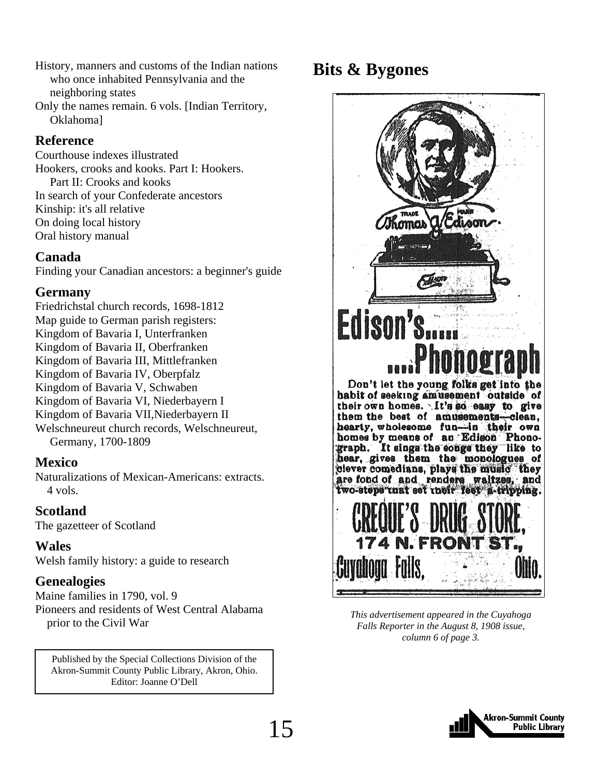- History, manners and customs of the Indian nations who once inhabited Pennsylvania and the neighboring states
- Only the names remain. 6 vols. [Indian Territory, Oklahoma]

#### **Reference**

Courthouse indexes illustrated Hookers, crooks and kooks. Part I: Hookers. Part II: Crooks and kooks In search of your Confederate ancestors Kinship: it's all relative On doing local history Oral history manual

#### **Canada**

Finding your Canadian ancestors: a beginner's guide

#### **Germany**

Friedrichstal church records, 1698-1812 Map guide to German parish registers: Kingdom of Bavaria I, Unterfranken Kingdom of Bavaria II, Oberfranken Kingdom of Bavaria III, Mittlefranken Kingdom of Bavaria IV, Oberpfalz Kingdom of Bavaria V, Schwaben Kingdom of Bavaria VI, Niederbayern I Kingdom of Bavaria VII,Niederbayern II Welschneureut church records, Welschneureut, Germany, 1700-1809

#### **Mexico**

Naturalizations of Mexican-Americans: extracts. 4 vols.

#### **Scotland**

The gazetteer of Scotland

#### **Wales**

Welsh family history: a guide to research

#### **Genealogies**

Maine families in 1790, vol. 9 Pioneers and residents of West Central Alabama prior to the Civil War

Published by the Special Collections Division of the Akron-Summit County Public Library, Akron, Ohio. Editor: Joanne O'Dell

**Bits & Bygones** 



*This advertisement appeared in the Cuyahoga Falls Reporter in the August 8, 1908 issue, column 6 of page 3.*